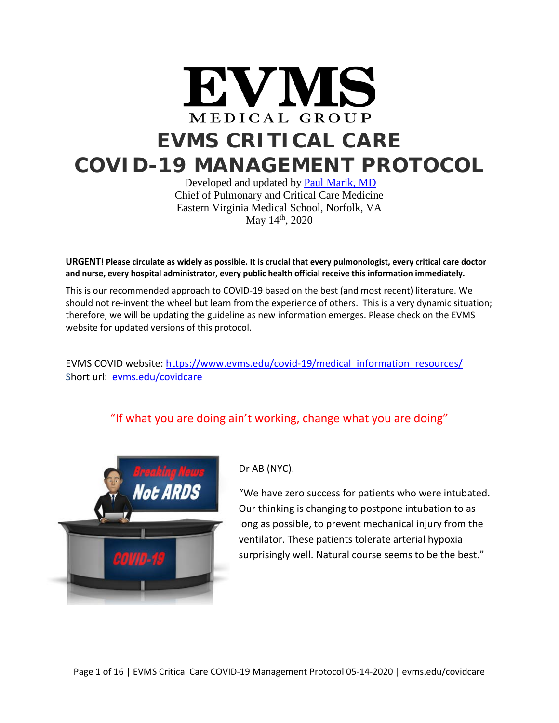

Developed and updated by [Paul Marik, MD](https://www.evms.edu/directory/profiles/paul-e-marik.php) Chief of Pulmonary and Critical Care Medicine Eastern Virginia Medical School, Norfolk, VA May 14<sup>th</sup>, 2020

**URGENT! Please circulate as widely as possible. It is crucial that every pulmonologist, every critical care doctor and nurse, every hospital administrator, every public health official receive this information immediately.**

This is our recommended approach to COVID-19 based on the best (and most recent) literature. We should not re-invent the wheel but learn from the experience of others. This is a very dynamic situation; therefore, we will be updating the guideline as new information emerges. Please check on the EVMS website for updated versions of this protocol.

EVMS COVID website[: https://www.evms.edu/covid-19/medical\\_information\\_resources/](https://www.evms.edu/covid-19/medical_information_resources/) Short url: [evms.edu/covidcare](http://evms.edu/covidcare)

"If what you are doing ain't working, change what you are doing"



Dr AB (NYC).

"We have zero success for patients who were intubated. Our thinking is changing to postpone intubation to as long as possible, to prevent mechanical injury from the ventilator. These patients tolerate arterial hypoxia surprisingly well. Natural course seems to be the best."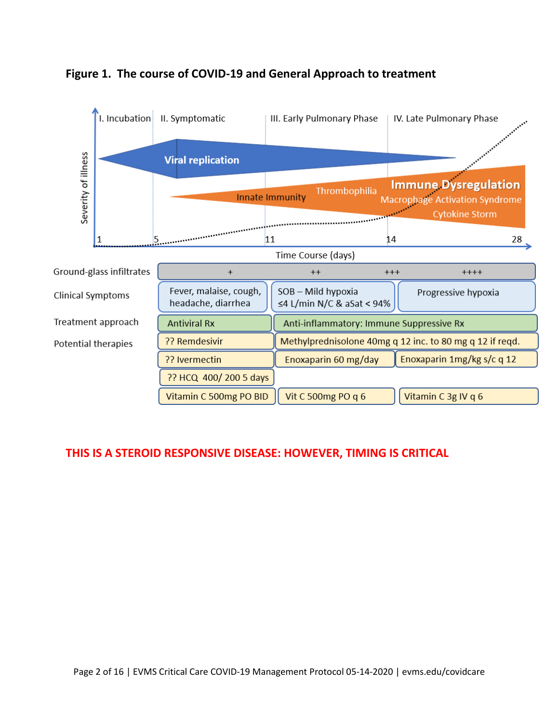

## **Figure 1. The course of COVID-19 and General Approach to treatment**

# **THIS IS A STEROID RESPONSIVE DISEASE: HOWEVER, TIMING IS CRITICAL**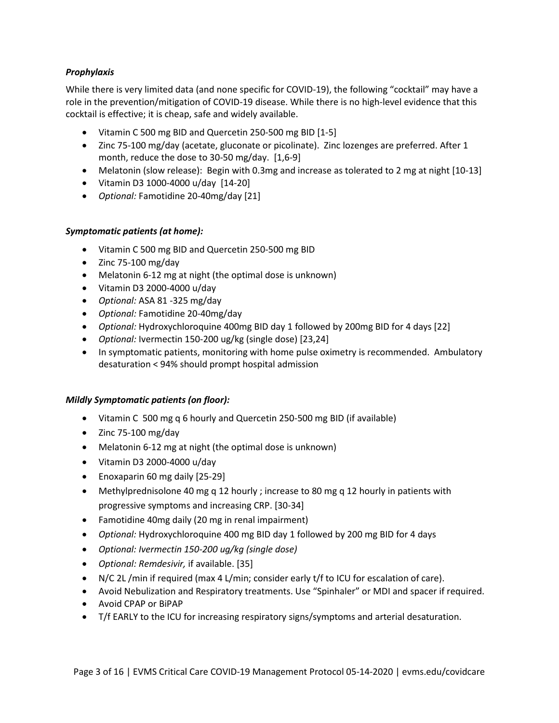## *Prophylaxis*

While there is very limited data (and none specific for COVID-19), the following "cocktail" may have a role in the prevention/mitigation of COVID-19 disease. While there is no high-level evidence that this cocktail is effective; it is cheap, safe and widely available.

- Vitamin C 500 mg BID and Quercetin 250-500 mg BID [1-5]
- Zinc 75-100 mg/day (acetate, gluconate or picolinate). Zinc lozenges are preferred. After 1 month, reduce the dose to 30-50 mg/day. [1,6-9]
- Melatonin (slow release): Begin with 0.3mg and increase as tolerated to 2 mg at night [10-13]
- Vitamin D3 1000-4000 u/day [14-20]
- *Optional:* Famotidine 20-40mg/day [21]

## *Symptomatic patients (at home):*

- Vitamin C 500 mg BID and Quercetin 250-500 mg BID
- Zinc 75-100 mg/day
- Melatonin 6-12 mg at night (the optimal dose is unknown)
- Vitamin D3 2000-4000 u/day
- *Optional:* ASA 81 -325 mg/day
- *Optional:* Famotidine 20-40mg/day
- *Optional:* Hydroxychloroquine 400mg BID day 1 followed by 200mg BID for 4 days [22]
- *Optional:* Ivermectin 150-200 ug/kg (single dose) [23,24]
- In symptomatic patients, monitoring with home pulse oximetry is recommended. Ambulatory desaturation < 94% should prompt hospital admission

#### *Mildly Symptomatic patients (on floor):*

- Vitamin C 500 mg q 6 hourly and Quercetin 250-500 mg BID (if available)
- Zinc 75-100 mg/day
- Melatonin 6-12 mg at night (the optimal dose is unknown)
- Vitamin D3 2000-4000 u/day
- Enoxaparin 60 mg daily [25-29]
- Methylprednisolone 40 mg q 12 hourly ; increase to 80 mg q 12 hourly in patients with progressive symptoms and increasing CRP. [30-34]
- Famotidine 40mg daily (20 mg in renal impairment)
- *Optional:* Hydroxychloroquine 400 mg BID day 1 followed by 200 mg BID for 4 days
- *Optional: Ivermectin 150-200 ug/kg (single dose)*
- *Optional: Remdesivir,* if available. [35]
- N/C 2L /min if required (max 4 L/min; consider early t/f to ICU for escalation of care).
- Avoid Nebulization and Respiratory treatments. Use "Spinhaler" or MDI and spacer if required.
- Avoid CPAP or BiPAP
- T/f EARLY to the ICU for increasing respiratory signs/symptoms and arterial desaturation.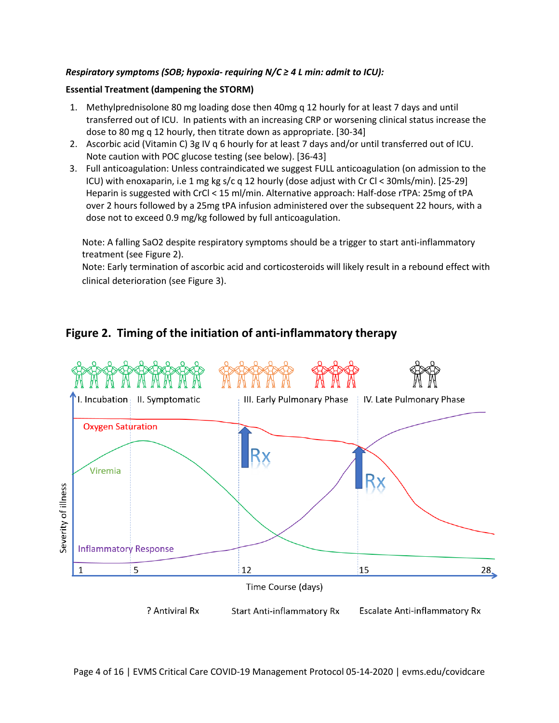#### *Respiratory symptoms (SOB; hypoxia- requiring N/C ≥ 4 L min: admit to ICU):*

#### **Essential Treatment (dampening the STORM)**

- 1. Methylprednisolone 80 mg loading dose then 40mg q 12 hourly for at least 7 days and until transferred out of ICU. In patients with an increasing CRP or worsening clinical status increase the dose to 80 mg q 12 hourly, then titrate down as appropriate. [30-34]
- 2. Ascorbic acid (Vitamin C) 3g IV q 6 hourly for at least 7 days and/or until transferred out of ICU. Note caution with POC glucose testing (see below). [36-43]
- 3. Full anticoagulation: Unless contraindicated we suggest FULL anticoagulation (on admission to the ICU) with enoxaparin, i.e 1 mg kg s/c q 12 hourly (dose adjust with Cr Cl < 30mls/min). [25-29] Heparin is suggested with CrCl < 15 ml/min. Alternative approach: Half-dose rTPA: 25mg of tPA over 2 hours followed by a 25mg tPA infusion administered over the subsequent 22 hours, with a dose not to exceed 0.9 mg/kg followed by full anticoagulation.

Note: A falling SaO2 despite respiratory symptoms should be a trigger to start anti-inflammatory treatment (see Figure 2).

Note: Early termination of ascorbic acid and corticosteroids will likely result in a rebound effect with clinical deterioration (see Figure 3).

# **Figure 2. Timing of the initiation of anti-inflammatory therapy**

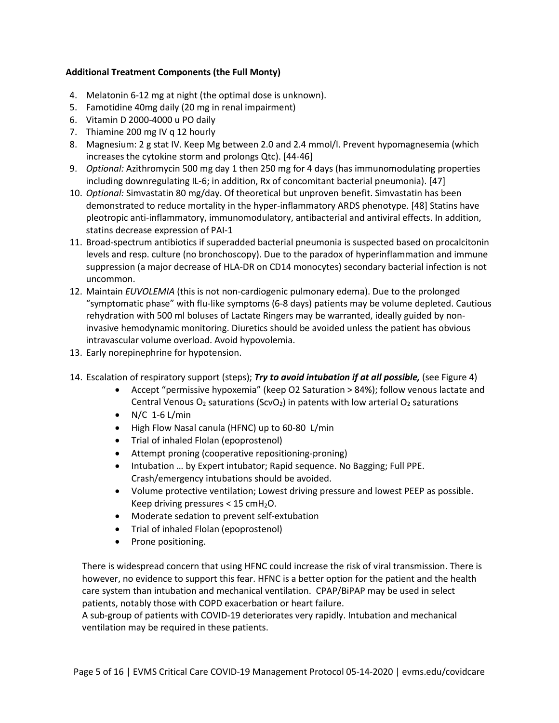## **Additional Treatment Components (the Full Monty)**

- 4. Melatonin 6-12 mg at night (the optimal dose is unknown).
- 5. Famotidine 40mg daily (20 mg in renal impairment)
- 6. Vitamin D 2000-4000 u PO daily
- 7. Thiamine 200 mg IV q 12 hourly
- 8. Magnesium: 2 g stat IV. Keep Mg between 2.0 and 2.4 mmol/l. Prevent hypomagnesemia (which increases the cytokine storm and prolongs Qtc). [44-46]
- 9. *Optional:* Azithromycin 500 mg day 1 then 250 mg for 4 days (has immunomodulating properties including downregulating IL-6; in addition, Rx of concomitant bacterial pneumonia). [47]
- 10. *Optional:* Simvastatin 80 mg/day. Of theoretical but unproven benefit. Simvastatin has been demonstrated to reduce mortality in the hyper-inflammatory ARDS phenotype. [48] Statins have pleotropic anti-inflammatory, immunomodulatory, antibacterial and antiviral effects. In addition, statins decrease expression of PAI-1
- 11. Broad-spectrum antibiotics if superadded bacterial pneumonia is suspected based on procalcitonin levels and resp. culture (no bronchoscopy). Due to the paradox of hyperinflammation and immune suppression (a major decrease of HLA-DR on CD14 monocytes) secondary bacterial infection is not uncommon.
- 12. Maintain *EUVOLEMIA* (this is not non-cardiogenic pulmonary edema). Due to the prolonged "symptomatic phase" with flu-like symptoms (6-8 days) patients may be volume depleted. Cautious rehydration with 500 ml boluses of Lactate Ringers may be warranted, ideally guided by noninvasive hemodynamic monitoring. Diuretics should be avoided unless the patient has obvious intravascular volume overload. Avoid hypovolemia.
- 13. Early norepinephrine for hypotension.
- 14. Escalation of respiratory support (steps); *Try to avoid intubation if at all possible,* (see Figure 4)
	- Accept "permissive hypoxemia" (keep O2 Saturation > 84%); follow venous lactate and Central Venous  $O_2$  saturations (ScvO<sub>2</sub>) in patents with low arterial  $O_2$  saturations
	- $N/C$  1-6 L/min
	- High Flow Nasal canula (HFNC) up to 60-80 L/min
	- Trial of inhaled Flolan (epoprostenol)
	- Attempt proning (cooperative repositioning-proning)
	- Intubation … by Expert intubator; Rapid sequence. No Bagging; Full PPE. Crash/emergency intubations should be avoided.
	- Volume protective ventilation; Lowest driving pressure and lowest PEEP as possible. Keep driving pressures  $< 15$  cmH<sub>2</sub>O.
	- Moderate sedation to prevent self-extubation
	- Trial of inhaled Flolan (epoprostenol)
	- Prone positioning.

There is widespread concern that using HFNC could increase the risk of viral transmission. There is however, no evidence to support this fear. HFNC is a better option for the patient and the health care system than intubation and mechanical ventilation. CPAP/BiPAP may be used in select patients, notably those with COPD exacerbation or heart failure.

A sub-group of patients with COVID-19 deteriorates very rapidly. Intubation and mechanical ventilation may be required in these patients.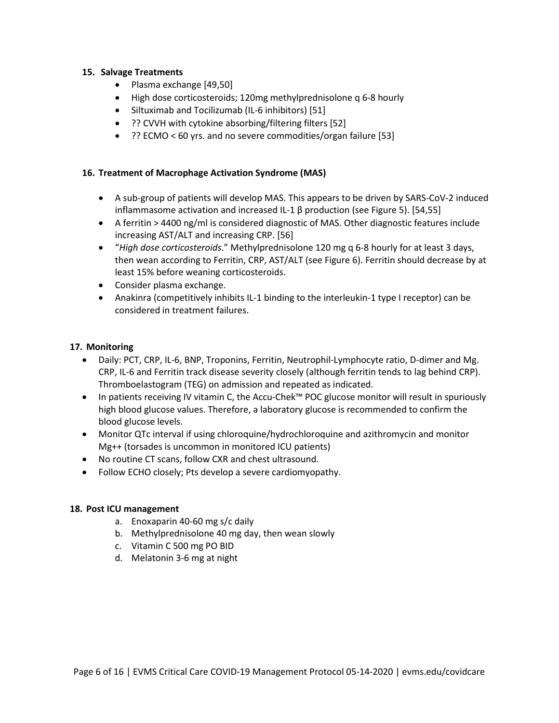#### **15. Salvage Treatments**

- Plasma exchange [49,50]
- High dose corticosteroids; 120mg methylprednisolone q 6-8 hourly
- Siltuximab and Tocilizumab (IL-6 inhibitors) [51]
- ?? CVVH with cytokine absorbing/filtering filters [52]
- ?? ECMO < 60 yrs. and no severe commodities/organ failure [53]

## **16. Treatment of Macrophage Activation Syndrome (MAS)**

- A sub-group of patients will develop MAS. This appears to be driven by SARS-CoV-2 induced inflammasome activation and increased IL-1 β production (see Figure 5). [54,55]
- A ferritin > 4400 ng/ml is considered diagnostic of MAS. Other diagnostic features include increasing AST/ALT and increasing CRP. [56]
- "*High dose corticosteroids*." Methylprednisolone 120 mg q 6-8 hourly for at least 3 days, then wean according to Ferritin, CRP, AST/ALT (see Figure 6). Ferritin should decrease by at least 15% before weaning corticosteroids.
- Consider plasma exchange.
- Anakinra (competitively inhibits IL-1 binding to the interleukin-1 type I receptor) can be considered in treatment failures.

#### **17. Monitoring**

- Daily: PCT, CRP, IL-6, BNP, Troponins, Ferritin, Neutrophil-Lymphocyte ratio, D-dimer and Mg. CRP, IL-6 and Ferritin track disease severity closely (although ferritin tends to lag behind CRP). Thromboelastogram (TEG) on admission and repeated as indicated.
- In patients receiving IV vitamin C, the Accu-Chek™ POC glucose monitor will result in spuriously high blood glucose values. Therefore, a laboratory glucose is recommended to confirm the blood glucose levels.
- Monitor QTc interval if using chloroquine/hydrochloroquine and azithromycin and monitor Mg++ (torsades is uncommon in monitored ICU patients)
- No routine CT scans, follow CXR and chest ultrasound.
- Follow ECHO closely; Pts develop a severe cardiomyopathy.

#### **18. Post ICU management**

- a. Enoxaparin 40-60 mg s/c daily
- b. Methylprednisolone 40 mg day, then wean slowly
- c. Vitamin C 500 mg PO BID
- d. Melatonin 3-6 mg at night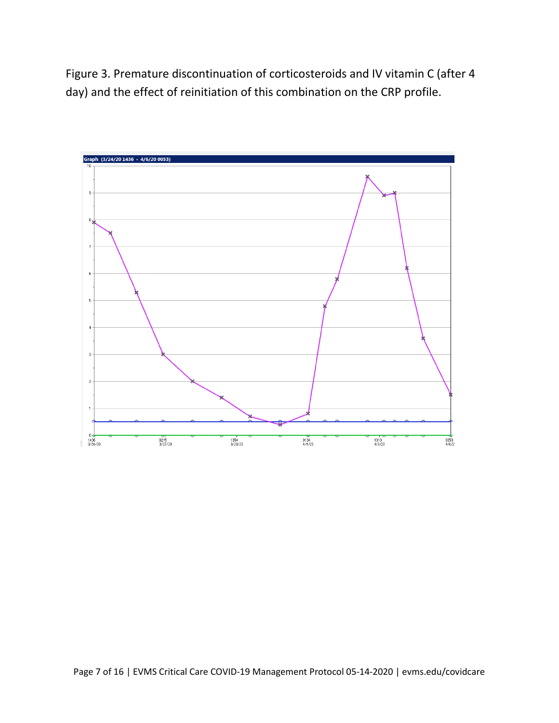Figure 3. Premature discontinuation of corticosteroids and IV vitamin C (after 4 day) and the effect of reinitiation of this combination on the CRP profile.

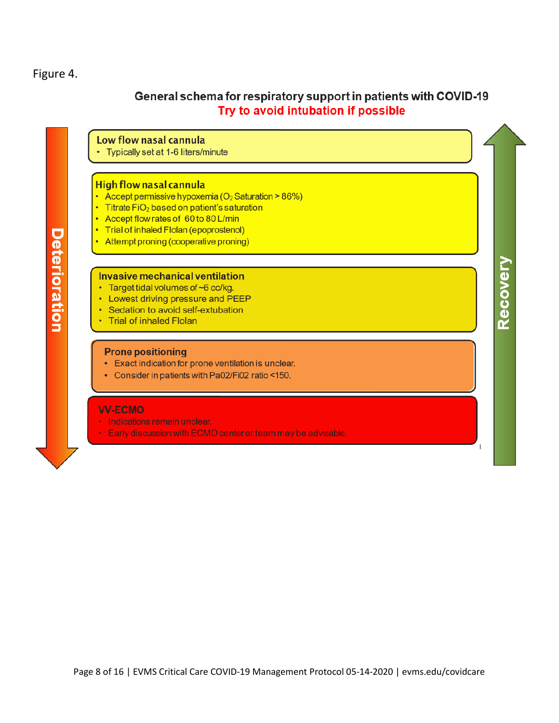## Figure 4.

# General schema for respiratory support in patients with COVID-19 Try to avoid intubation if possible

Recovery

Low flow nasal cannula

Typically set at 1-6 liters/minute

#### **High flow nasal cannula**

- Accept permissive hypoxemia ( $O<sub>2</sub>$  Saturation > 86%)
- Titrate FiO<sub>2</sub> based on patient's saturation
- Accept flow rates of 60 to 80 L/min .
- . Trial of inhaled Flolan (epoprostenol)
- Attempt proning (cooperative proning)

#### Invasive mechanical ventilation

- Target tidal volumes of ~6 cc/kg.
- Lowest driving pressure and PEEP  $\bullet$
- Sedation to avoid self-extubation
- **Trial of inhaled Flolan**

#### **Prone positioning**

- Exact indication for prone ventilation is unclear.
- Consider in patients with Pa02/Fi02 ratio <150.

#### **VV-ECMO**

- · Indications remain unclear.
- Early discussion with ECMO center or team may be advisable.

Deterioration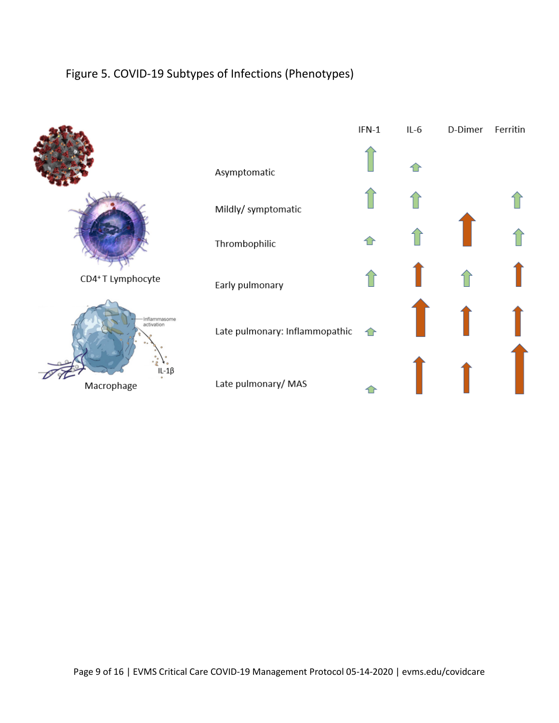# Figure 5. COVID-19 Subtypes of Infections (Phenotypes)

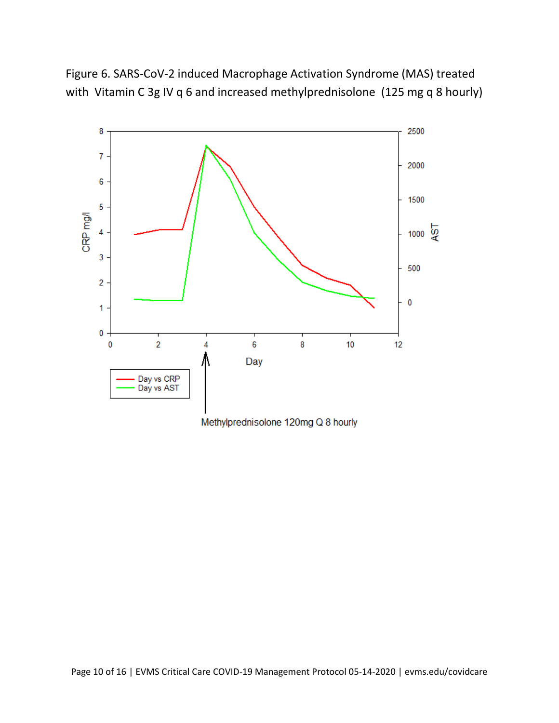Figure 6. SARS-CoV-2 induced Macrophage Activation Syndrome (MAS) treated with Vitamin C 3g IV q 6 and increased methylprednisolone (125 mg q 8 hourly)



Methylprednisolone 120mg Q 8 hourly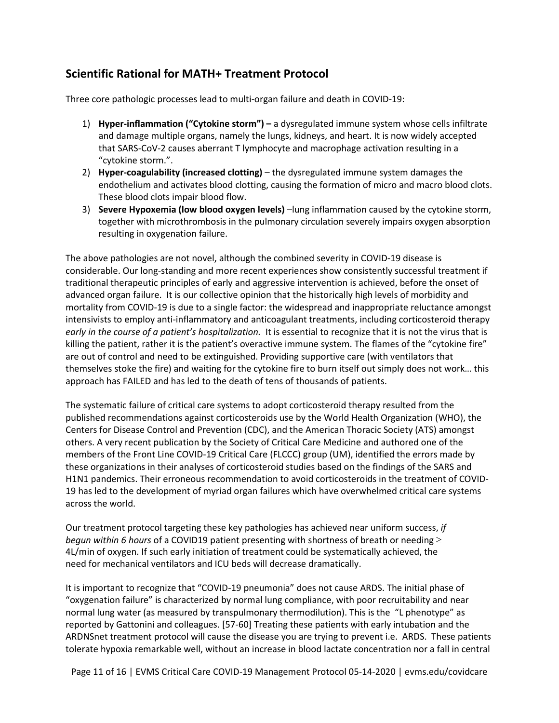# **Scientific Rational for MATH+ Treatment Protocol**

Three core pathologic processes lead to multi-organ failure and death in COVID-19:

- 1) **Hyper-inflammation ("Cytokine storm") –** a dysregulated immune system whose cells infiltrate and damage multiple organs, namely the lungs, kidneys, and heart. It is now widely accepted that SARS-CoV-2 causes aberrant T lymphocyte and macrophage activation resulting in a "cytokine storm.".
- 2) **Hyper-coagulability (increased clotting)** the dysregulated immune system damages the endothelium and activates blood clotting, causing the formation of micro and macro blood clots. These blood clots impair blood flow.
- 3) **Severe Hypoxemia (low blood oxygen levels)** –lung inflammation caused by the cytokine storm, together with microthrombosis in the pulmonary circulation severely impairs oxygen absorption resulting in oxygenation failure.

The above pathologies are not novel, although the combined severity in COVID-19 disease is considerable. Our long-standing and more recent experiences show consistently successful treatment if traditional therapeutic principles of early and aggressive intervention is achieved, before the onset of advanced organ failure. It is our collective opinion that the historically high levels of morbidity and mortality from COVID-19 is due to a single factor: the widespread and inappropriate reluctance amongst intensivists to employ anti-inflammatory and anticoagulant treatments, including corticosteroid therapy *early in the course of a patient's hospitalization.* It is essential to recognize that it is not the virus that is killing the patient, rather it is the patient's overactive immune system. The flames of the "cytokine fire" are out of control and need to be extinguished. Providing supportive care (with ventilators that themselves stoke the fire) and waiting for the cytokine fire to burn itself out simply does not work… this approach has FAILED and has led to the death of tens of thousands of patients.

The systematic failure of critical care systems to adopt corticosteroid therapy resulted from the published recommendations against corticosteroids use by the World Health Organization (WHO), the Centers for Disease Control and Prevention (CDC), and the American Thoracic Society (ATS) amongst others. A very recent publication by the Society of Critical Care Medicine and authored one of the members of the Front Line COVID-19 Critical Care (FLCCC) group (UM), identified the errors made by these organizations in their analyses of corticosteroid studies based on the findings of the SARS and H1N1 pandemics. Their erroneous recommendation to avoid corticosteroids in the treatment of COVID-19 has led to the development of myriad organ failures which have overwhelmed critical care systems across the world.

Our treatment protocol targeting these key pathologies has achieved near uniform success, *if begun within 6 hours* of a COVID19 patient presenting with shortness of breath or needing ≥ 4L/min of oxygen. If such early initiation of treatment could be systematically achieved, the need for mechanical ventilators and ICU beds will decrease dramatically.

It is important to recognize that "COVID-19 pneumonia" does not cause ARDS. The initial phase of "oxygenation failure" is characterized by normal lung compliance, with poor recruitability and near normal lung water (as measured by transpulmonary thermodilution). This is the "L phenotype" as reported by Gattonini and colleagues. [57-60] Treating these patients with early intubation and the ARDNSnet treatment protocol will cause the disease you are trying to prevent i.e. ARDS. These patients tolerate hypoxia remarkable well, without an increase in blood lactate concentration nor a fall in central

Page 11 of 16 | EVMS Critical Care COVID-19 Management Protocol 05-14-2020 | evms.edu/covidcare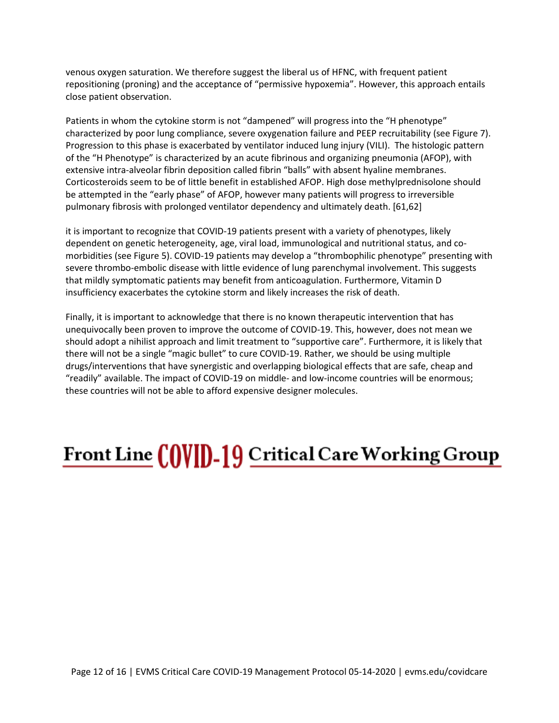venous oxygen saturation. We therefore suggest the liberal us of HFNC, with frequent patient repositioning (proning) and the acceptance of "permissive hypoxemia". However, this approach entails close patient observation.

Patients in whom the cytokine storm is not "dampened" will progress into the "H phenotype" characterized by poor lung compliance, severe oxygenation failure and PEEP recruitability (see Figure 7). Progression to this phase is exacerbated by ventilator induced lung injury (VILI). The histologic pattern of the "H Phenotype" is characterized by an acute fibrinous and organizing pneumonia (AFOP), with extensive intra-alveolar fibrin deposition called fibrin "balls" with absent hyaline membranes. Corticosteroids seem to be of little benefit in established AFOP. High dose methylprednisolone should be attempted in the "early phase" of AFOP, however many patients will progress to irreversible pulmonary fibrosis with prolonged ventilator dependency and ultimately death. [61,62]

it is important to recognize that COVID-19 patients present with a variety of phenotypes, likely dependent on genetic heterogeneity, age, viral load, immunological and nutritional status, and comorbidities (see Figure 5). COVID-19 patients may develop a "thrombophilic phenotype" presenting with severe thrombo-embolic disease with little evidence of lung parenchymal involvement. This suggests that mildly symptomatic patients may benefit from anticoagulation. Furthermore, Vitamin D insufficiency exacerbates the cytokine storm and likely increases the risk of death.

Finally, it is important to acknowledge that there is no known therapeutic intervention that has unequivocally been proven to improve the outcome of COVID-19. This, however, does not mean we should adopt a nihilist approach and limit treatment to "supportive care". Furthermore, it is likely that there will not be a single "magic bullet" to cure COVID-19. Rather, we should be using multiple drugs/interventions that have synergistic and overlapping biological effects that are safe, cheap and "readily" available. The impact of COVID-19 on middle- and low-income countries will be enormous; these countries will not be able to afford expensive designer molecules.

# **Front Line COVID-19 Critical Care Working Group**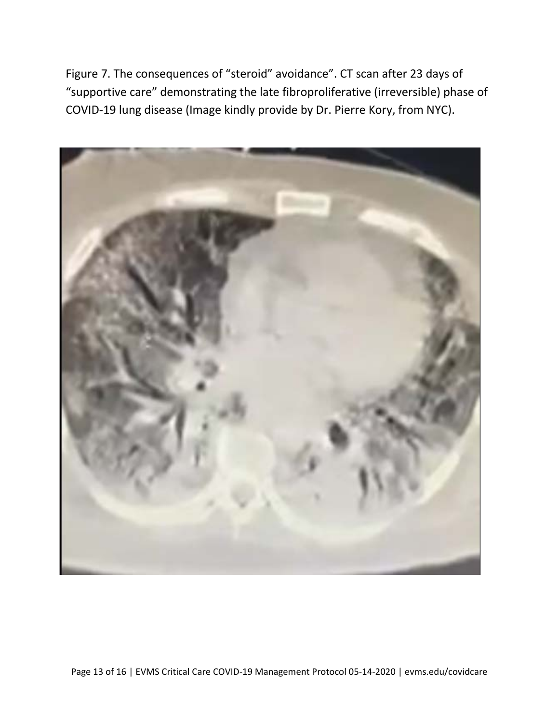Figure 7. The consequences of "steroid" avoidance". CT scan after 23 days of "supportive care" demonstrating the late fibroproliferative (irreversible) phase of COVID-19 lung disease (Image kindly provide by Dr. Pierre Kory, from NYC).

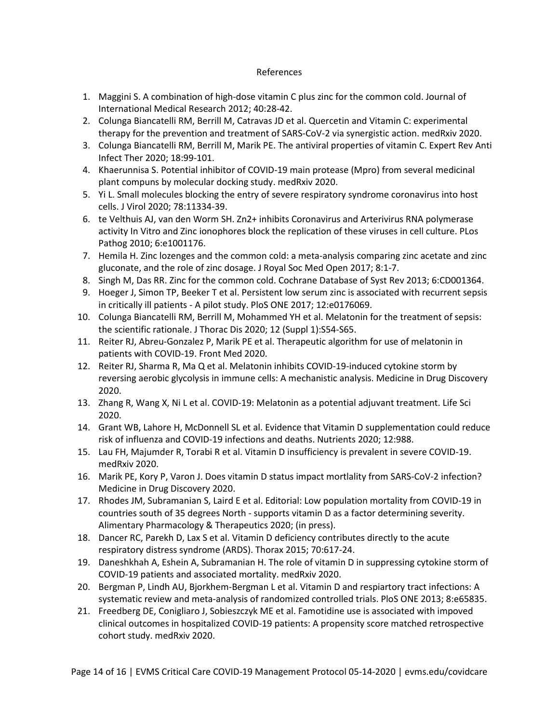#### References

- 1. Maggini S. A combination of high-dose vitamin C plus zinc for the common cold. Journal of International Medical Research 2012; 40:28-42.
- 2. Colunga Biancatelli RM, Berrill M, Catravas JD et al. Quercetin and Vitamin C: experimental therapy for the prevention and treatment of SARS-CoV-2 via synergistic action. medRxiv 2020.
- 3. Colunga Biancatelli RM, Berrill M, Marik PE. The antiviral properties of vitamin C. Expert Rev Anti Infect Ther 2020; 18:99-101.
- 4. Khaerunnisa S. Potential inhibitor of COVID-19 main protease (Mpro) from several medicinal plant compuns by molecular docking study. medRxiv 2020.
- 5. Yi L. Small molecules blocking the entry of severe respiratory syndrome coronavirus into host cells. J Virol 2020; 78:11334-39.
- 6. te Velthuis AJ, van den Worm SH. Zn2+ inhibits Coronavirus and Arterivirus RNA polymerase activity In Vitro and Zinc ionophores block the replication of these viruses in cell culture. PLos Pathog 2010; 6:e1001176.
- 7. Hemila H. Zinc lozenges and the common cold: a meta-analysis comparing zinc acetate and zinc gluconate, and the role of zinc dosage. J Royal Soc Med Open 2017; 8:1-7.
- 8. Singh M, Das RR. Zinc for the common cold. Cochrane Database of Syst Rev 2013; 6:CD001364.
- 9. Hoeger J, Simon TP, Beeker T et al. Persistent low serum zinc is associated with recurrent sepsis in critically ill patients - A pilot study. PloS ONE 2017; 12:e0176069.
- 10. Colunga Biancatelli RM, Berrill M, Mohammed YH et al. Melatonin for the treatment of sepsis: the scientific rationale. J Thorac Dis 2020; 12 (Suppl 1):S54-S65.
- 11. Reiter RJ, Abreu-Gonzalez P, Marik PE et al. Therapeutic algorithm for use of melatonin in patients with COVID-19. Front Med 2020.
- 12. Reiter RJ, Sharma R, Ma Q et al. Melatonin inhibits COVID-19-induced cytokine storm by reversing aerobic glycolysis in immune cells: A mechanistic analysis. Medicine in Drug Discovery 2020.
- 13. Zhang R, Wang X, Ni L et al. COVID-19: Melatonin as a potential adjuvant treatment. Life Sci 2020.
- 14. Grant WB, Lahore H, McDonnell SL et al. Evidence that Vitamin D supplementation could reduce risk of influenza and COVID-19 infections and deaths. Nutrients 2020; 12:988.
- 15. Lau FH, Majumder R, Torabi R et al. Vitamin D insufficiency is prevalent in severe COVID-19. medRxiv 2020.
- 16. Marik PE, Kory P, Varon J. Does vitamin D status impact mortlality from SARS-CoV-2 infection? Medicine in Drug Discovery 2020.
- 17. Rhodes JM, Subramanian S, Laird E et al. Editorial: Low population mortality from COVID-19 in countries south of 35 degrees North - supports vitamin D as a factor determining severity. Alimentary Pharmacology & Therapeutics 2020; (in press).
- 18. Dancer RC, Parekh D, Lax S et al. Vitamin D deficiency contributes directly to the acute respiratory distress syndrome (ARDS). Thorax 2015; 70:617-24.
- 19. Daneshkhah A, Eshein A, Subramanian H. The role of vitamin D in suppressing cytokine storm of COVID-19 patients and associated mortality. medRxiv 2020.
- 20. Bergman P, Lindh AU, Bjorkhem-Bergman L et al. Vitamin D and respiartory tract infections: A systematic review and meta-analysis of randomized controlled trials. PloS ONE 2013; 8:e65835.
- 21. Freedberg DE, Conigliaro J, Sobieszczyk ME et al. Famotidine use is associated with impoved clinical outcomes in hospitalized COVID-19 patients: A propensity score matched retrospective cohort study. medRxiv 2020.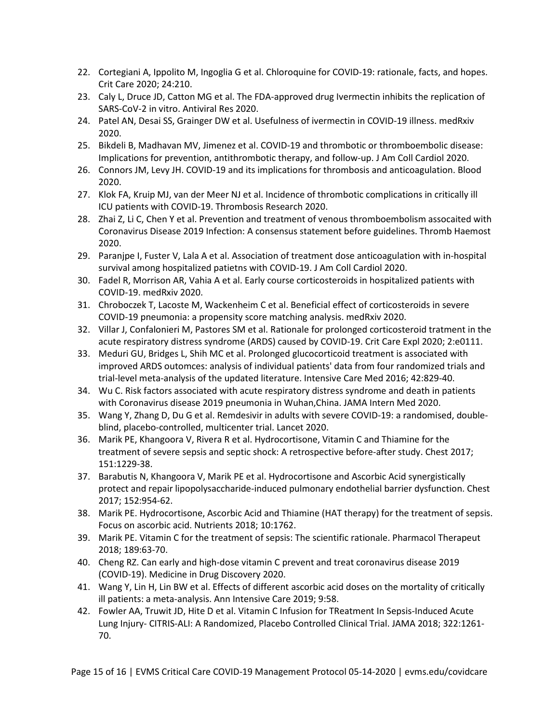- 22. Cortegiani A, Ippolito M, Ingoglia G et al. Chloroquine for COVID-19: rationale, facts, and hopes. Crit Care 2020; 24:210.
- 23. Caly L, Druce JD, Catton MG et al. The FDA-approved drug Ivermectin inhibits the replication of SARS-CoV-2 in vitro. Antiviral Res 2020.
- 24. Patel AN, Desai SS, Grainger DW et al. Usefulness of ivermectin in COVID-19 illness. medRxiv 2020.
- 25. Bikdeli B, Madhavan MV, Jimenez et al. COVID-19 and thrombotic or thromboembolic disease: Implications for prevention, antithrombotic therapy, and follow-up. J Am Coll Cardiol 2020.
- 26. Connors JM, Levy JH. COVID-19 and its implications for thrombosis and anticoagulation. Blood 2020.
- 27. Klok FA, Kruip MJ, van der Meer NJ et al. Incidence of thrombotic complications in critically ill ICU patients with COVID-19. Thrombosis Research 2020.
- 28. Zhai Z, Li C, Chen Y et al. Prevention and treatment of venous thromboembolism assocaited with Coronavirus Disease 2019 Infection: A consensus statement before guidelines. Thromb Haemost 2020.
- 29. Paranjpe I, Fuster V, Lala A et al. Association of treatment dose anticoagulation with in-hospital survival among hospitalized patietns with COVID-19. J Am Coll Cardiol 2020.
- 30. Fadel R, Morrison AR, Vahia A et al. Early course corticosteroids in hospitalized patients with COVID-19. medRxiv 2020.
- 31. Chroboczek T, Lacoste M, Wackenheim C et al. Beneficial effect of corticosteroids in severe COVID-19 pneumonia: a propensity score matching analysis. medRxiv 2020.
- 32. Villar J, Confalonieri M, Pastores SM et al. Rationale for prolonged corticosteroid tratment in the acute respiratory distress syndrome (ARDS) caused by COVID-19. Crit Care Expl 2020; 2:e0111.
- 33. Meduri GU, Bridges L, Shih MC et al. Prolonged glucocorticoid treatment is associated with improved ARDS outomces: analysis of individual patients' data from four randomized trials and trial-level meta-analysis of the updated literature. Intensive Care Med 2016; 42:829-40.
- 34. Wu C. Risk factors associated with acute respiratory distress syndrome and death in patients with Coronavirus disease 2019 pneumonia in Wuhan,China. JAMA Intern Med 2020.
- 35. Wang Y, Zhang D, Du G et al. Remdesivir in adults with severe COVID-19: a randomised, doubleblind, placebo-controlled, multicenter trial. Lancet 2020.
- 36. Marik PE, Khangoora V, Rivera R et al. Hydrocortisone, Vitamin C and Thiamine for the treatment of severe sepsis and septic shock: A retrospective before-after study. Chest 2017; 151:1229-38.
- 37. Barabutis N, Khangoora V, Marik PE et al. Hydrocortisone and Ascorbic Acid synergistically protect and repair lipopolysaccharide-induced pulmonary endothelial barrier dysfunction. Chest 2017; 152:954-62.
- 38. Marik PE. Hydrocortisone, Ascorbic Acid and Thiamine (HAT therapy) for the treatment of sepsis. Focus on ascorbic acid. Nutrients 2018; 10:1762.
- 39. Marik PE. Vitamin C for the treatment of sepsis: The scientific rationale. Pharmacol Therapeut 2018; 189:63-70.
- 40. Cheng RZ. Can early and high-dose vitamin C prevent and treat coronavirus disease 2019 (COVID-19). Medicine in Drug Discovery 2020.
- 41. Wang Y, Lin H, Lin BW et al. Effects of different ascorbic acid doses on the mortality of critically ill patients: a meta-analysis. Ann Intensive Care 2019; 9:58.
- 42. Fowler AA, Truwit JD, Hite D et al. Vitamin C Infusion for TReatment In Sepsis-Induced Acute Lung Injury- CITRIS-ALI: A Randomized, Placebo Controlled Clinical Trial. JAMA 2018; 322:1261- 70.